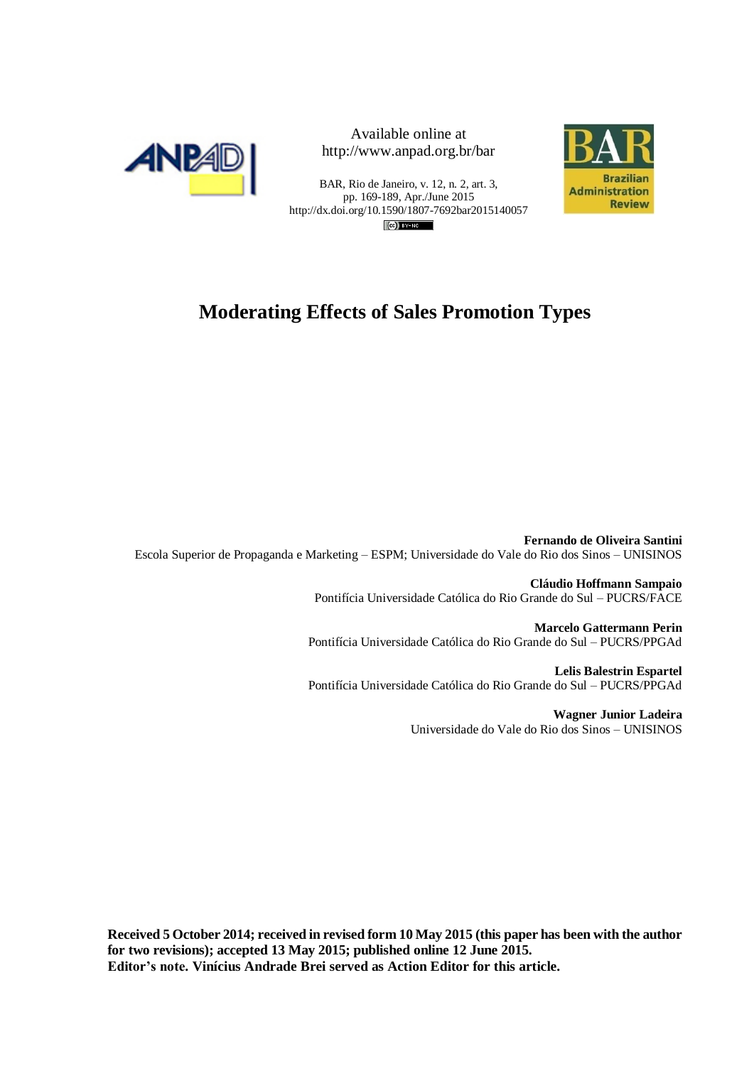



BAR, Rio de Janeiro, v. 12, n. 2, art. 3, pp. 169-189, Apr./June 2015 http://dx.doi.org/10.1590/1807-7692bar2015140057  $(c)$  BY-NC



# **Moderating Effects of Sales Promotion Types**

**Fernando de Oliveira Santini** Escola Superior de Propaganda e Marketing – ESPM; Universidade do Vale do Rio dos Sinos – UNISINOS

> **Cláudio Hoffmann Sampaio** Pontifícia Universidade Católica do Rio Grande do Sul – PUCRS/FACE

**Marcelo Gattermann Perin** Pontifícia Universidade Católica do Rio Grande do Sul – PUCRS/PPGAd

**Lelis Balestrin Espartel** Pontifícia Universidade Católica do Rio Grande do Sul – PUCRS/PPGAd

> **Wagner Junior Ladeira** Universidade do Vale do Rio dos Sinos – UNISINOS

**Received 5 October 2014; received in revised form 10 May 2015 (this paper has been with the author for two revisions); accepted 13 May 2015; published online 12 June 2015. Editor's note. Vinícius Andrade Brei served as Action Editor for this article.**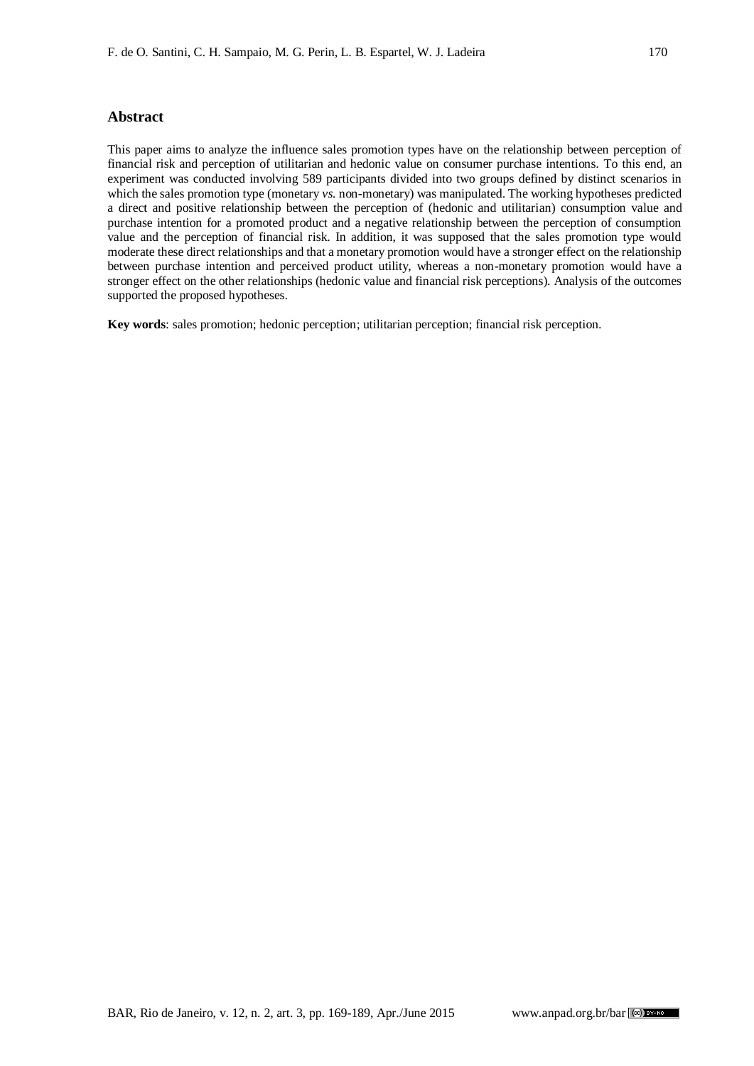#### **Abstract**

This paper aims to analyze the influence sales promotion types have on the relationship between perception of financial risk and perception of utilitarian and hedonic value on consumer purchase intentions. To this end, an experiment was conducted involving 589 participants divided into two groups defined by distinct scenarios in which the sales promotion type (monetary *vs.* non-monetary) was manipulated. The working hypotheses predicted a direct and positive relationship between the perception of (hedonic and utilitarian) consumption value and purchase intention for a promoted product and a negative relationship between the perception of consumption value and the perception of financial risk. In addition, it was supposed that the sales promotion type would moderate these direct relationships and that a monetary promotion would have a stronger effect on the relationship between purchase intention and perceived product utility, whereas a non-monetary promotion would have a stronger effect on the other relationships (hedonic value and financial risk perceptions). Analysis of the outcomes supported the proposed hypotheses.

**Key words**: sales promotion; hedonic perception; utilitarian perception; financial risk perception.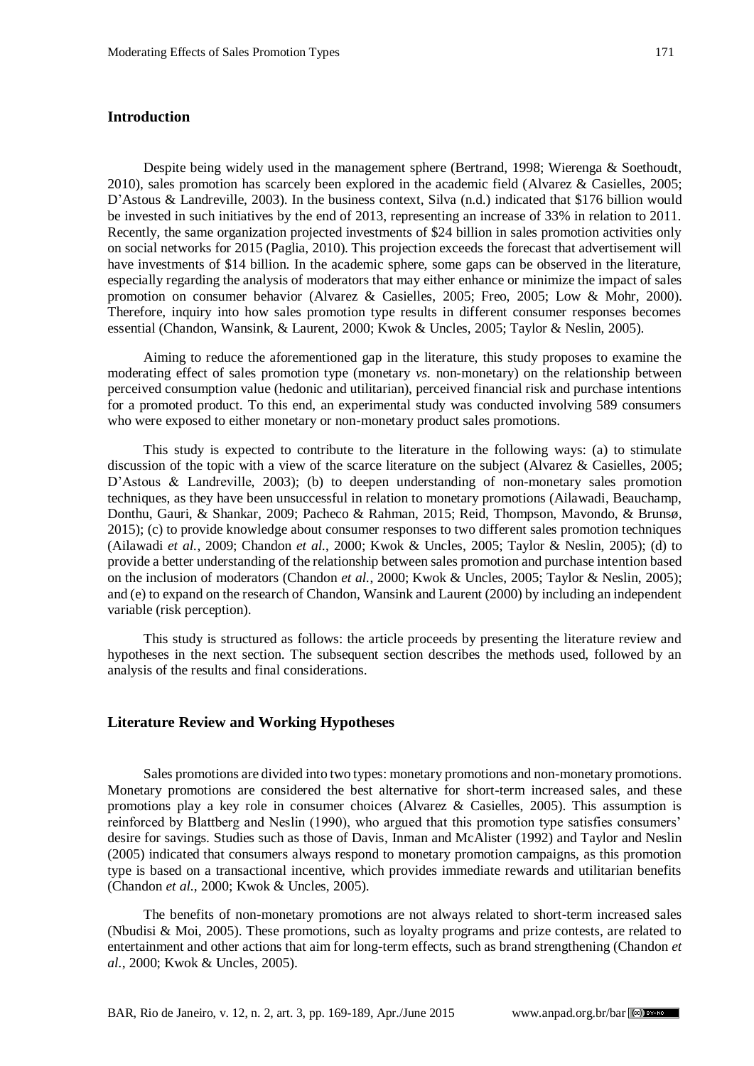# **Introduction**

Despite being widely used in the management sphere (Bertrand, 1998; Wierenga & Soethoudt, 2010), sales promotion has scarcely been explored in the academic field (Alvarez & Casielles, 2005; D'Astous & Landreville, 2003). In the business context, Silva (n.d.) indicated that \$176 billion would be invested in such initiatives by the end of 2013, representing an increase of 33% in relation to 2011. Recently, the same organization projected investments of \$24 billion in sales promotion activities only on social networks for 2015 (Paglia, 2010). This projection exceeds the forecast that advertisement will have investments of \$14 billion. In the academic sphere, some gaps can be observed in the literature, especially regarding the analysis of moderators that may either enhance or minimize the impact of sales promotion on consumer behavior (Alvarez & Casielles, 2005; Freo, 2005; Low & Mohr, 2000). Therefore, inquiry into how sales promotion type results in different consumer responses becomes essential (Chandon, Wansink, & Laurent, 2000; Kwok & Uncles, 2005; Taylor & Neslin, 2005).

Aiming to reduce the aforementioned gap in the literature, this study proposes to examine the moderating effect of sales promotion type (monetary *vs.* non-monetary) on the relationship between perceived consumption value (hedonic and utilitarian), perceived financial risk and purchase intentions for a promoted product. To this end, an experimental study was conducted involving 589 consumers who were exposed to either monetary or non-monetary product sales promotions.

This study is expected to contribute to the literature in the following ways: (a) to stimulate discussion of the topic with a view of the scarce literature on the subject (Alvarez & Casielles, 2005; D'Astous & Landreville, 2003); (b) to deepen understanding of non-monetary sales promotion techniques, as they have been unsuccessful in relation to monetary promotions (Ailawadi, Beauchamp, Donthu, Gauri, & Shankar, 2009; Pacheco & Rahman, 2015; Reid, Thompson, Mavondo, & Brunsø*,* 2015); (c) to provide knowledge about consumer responses to two different sales promotion techniques (Ailawadi *et al.*, 2009; Chandon *et al.*, 2000; Kwok & Uncles, 2005; Taylor & Neslin, 2005); (d) to provide a better understanding of the relationship between sales promotion and purchase intention based on the inclusion of moderators (Chandon *et al.*, 2000; Kwok & Uncles, 2005; Taylor & Neslin, 2005); and (e) to expand on the research of Chandon, Wansink and Laurent (2000) by including an independent variable (risk perception).

This study is structured as follows: the article proceeds by presenting the literature review and hypotheses in the next section. The subsequent section describes the methods used, followed by an analysis of the results and final considerations.

### **Literature Review and Working Hypotheses**

Sales promotions are divided into two types: monetary promotions and non-monetary promotions. Monetary promotions are considered the best alternative for short-term increased sales, and these promotions play a key role in consumer choices (Alvarez & Casielles, 2005). This assumption is reinforced by Blattberg and Neslin (1990), who argued that this promotion type satisfies consumers' desire for savings. Studies such as those of Davis, Inman and McAlister (1992) and Taylor and Neslin (2005) indicated that consumers always respond to monetary promotion campaigns, as this promotion type is based on a transactional incentive, which provides immediate rewards and utilitarian benefits (Chandon *et al.*, 2000; Kwok & Uncles, 2005).

The benefits of non-monetary promotions are not always related to short-term increased sales (Nbudisi & Moi, 2005). These promotions, such as loyalty programs and prize contests, are related to entertainment and other actions that aim for long-term effects, such as brand strengthening (Chandon *et al.*, 2000; Kwok & Uncles, 2005).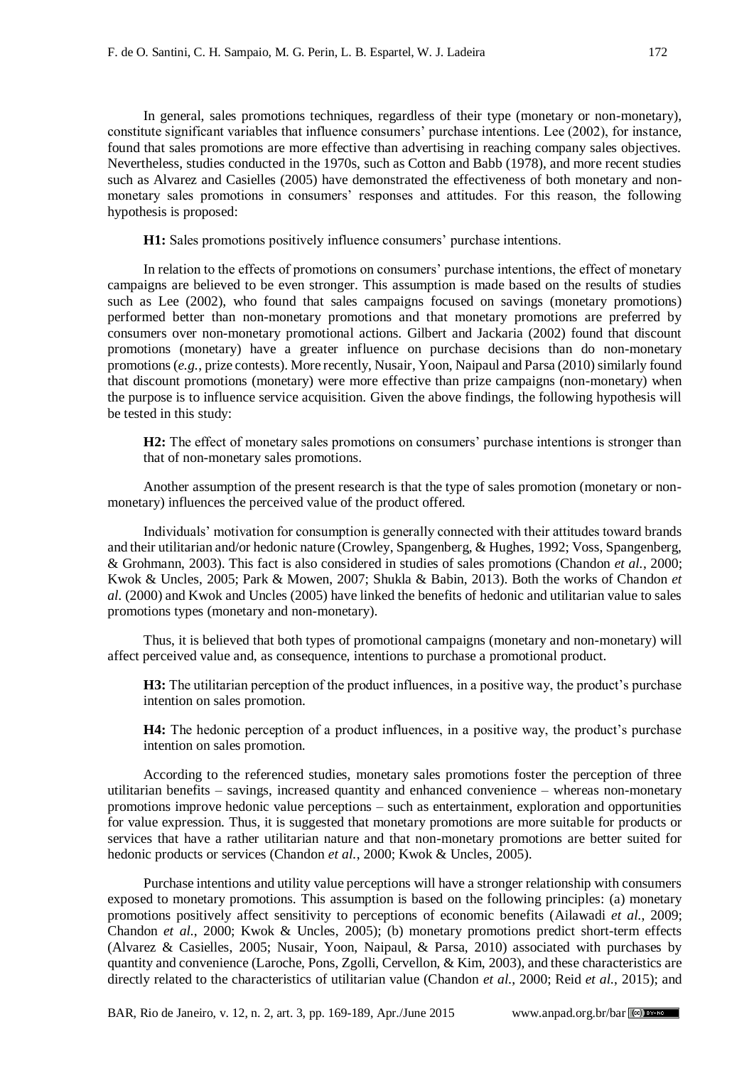In general, sales promotions techniques, regardless of their type (monetary or non-monetary), constitute significant variables that influence consumers' purchase intentions. Lee (2002), for instance, found that sales promotions are more effective than advertising in reaching company sales objectives. Nevertheless, studies conducted in the 1970s, such as Cotton and Babb (1978), and more recent studies such as Alvarez and Casielles (2005) have demonstrated the effectiveness of both monetary and nonmonetary sales promotions in consumers' responses and attitudes. For this reason, the following hypothesis is proposed:

**H1:** Sales promotions positively influence consumers' purchase intentions.

In relation to the effects of promotions on consumers' purchase intentions, the effect of monetary campaigns are believed to be even stronger. This assumption is made based on the results of studies such as Lee (2002), who found that sales campaigns focused on savings (monetary promotions) performed better than non-monetary promotions and that monetary promotions are preferred by consumers over non-monetary promotional actions. Gilbert and Jackaria (2002) found that discount promotions (monetary) have a greater influence on purchase decisions than do non-monetary promotions (*e.g.*, prize contests). More recently, Nusair, Yoon, Naipaul and Parsa (2010) similarly found that discount promotions (monetary) were more effective than prize campaigns (non-monetary) when the purpose is to influence service acquisition. Given the above findings, the following hypothesis will be tested in this study:

**H2:** The effect of monetary sales promotions on consumers' purchase intentions is stronger than that of non-monetary sales promotions.

Another assumption of the present research is that the type of sales promotion (monetary or nonmonetary) influences the perceived value of the product offered.

Individuals' motivation for consumption is generally connected with their attitudes toward brands and their utilitarian and/or hedonic nature (Crowley, Spangenberg, & Hughes, 1992; Voss, Spangenberg, & Grohmann, 2003). This fact is also considered in studies of sales promotions (Chandon *et al.*, 2000; Kwok & Uncles, 2005; Park & Mowen, 2007; Shukla & Babin, 2013). Both the works of Chandon *et al.* (2000) and Kwok and Uncles (2005) have linked the benefits of hedonic and utilitarian value to sales promotions types (monetary and non-monetary).

Thus, it is believed that both types of promotional campaigns (monetary and non-monetary) will affect perceived value and, as consequence, intentions to purchase a promotional product.

**H3:** The utilitarian perception of the product influences, in a positive way, the product's purchase intention on sales promotion.

**H4:** The hedonic perception of a product influences, in a positive way, the product's purchase intention on sales promotion.

According to the referenced studies, monetary sales promotions foster the perception of three utilitarian benefits – savings, increased quantity and enhanced convenience – whereas non-monetary promotions improve hedonic value perceptions – such as entertainment, exploration and opportunities for value expression. Thus, it is suggested that monetary promotions are more suitable for products or services that have a rather utilitarian nature and that non-monetary promotions are better suited for hedonic products or services (Chandon *et al.*, 2000; Kwok & Uncles, 2005).

Purchase intentions and utility value perceptions will have a stronger relationship with consumers exposed to monetary promotions. This assumption is based on the following principles: (a) monetary promotions positively affect sensitivity to perceptions of economic benefits (Ailawadi *et al.*, 2009; Chandon *et al.*, 2000; Kwok & Uncles, 2005); (b) monetary promotions predict short-term effects (Alvarez & Casielles, 2005; Nusair, Yoon, Naipaul, & Parsa, 2010) associated with purchases by quantity and convenience (Laroche, Pons, Zgolli, Cervellon, & Kim, 2003), and these characteristics are directly related to the characteristics of utilitarian value (Chandon *et al.*, 2000; Reid *et al.*, 2015); and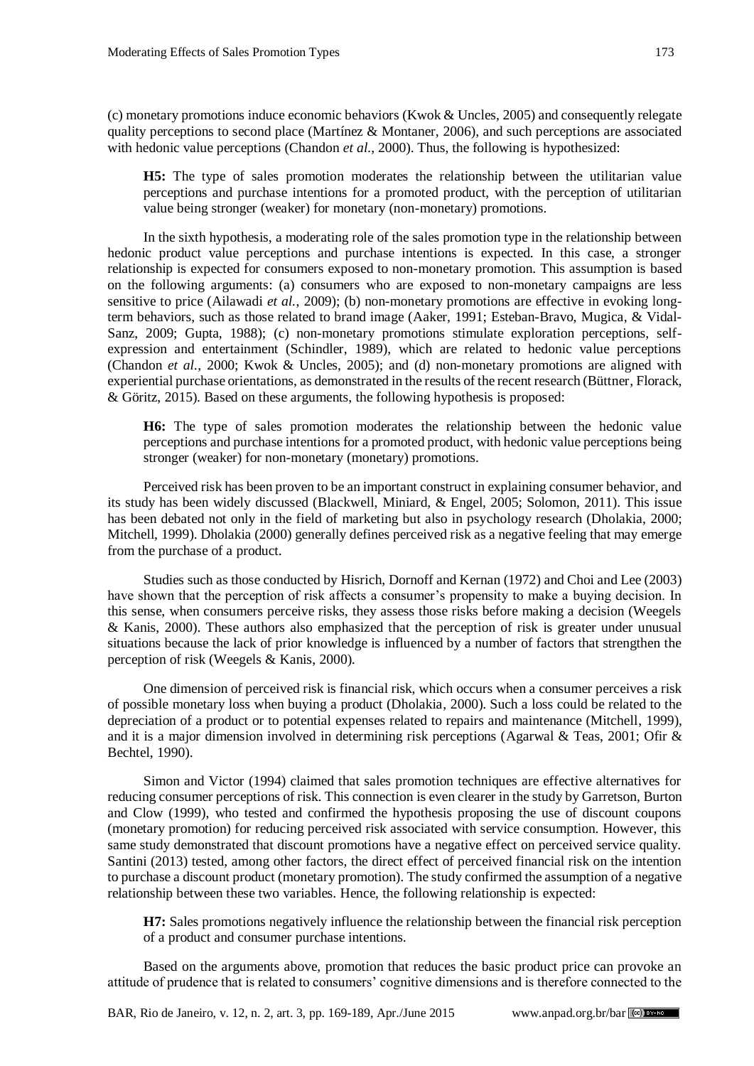(c) monetary promotions induce economic behaviors (Kwok & Uncles, 2005) and consequently relegate quality perceptions to second place (Martínez  $&$  Montaner, 2006), and such perceptions are associated with hedonic value perceptions (Chandon *et al.*, 2000). Thus, the following is hypothesized:

**H5:** The type of sales promotion moderates the relationship between the utilitarian value perceptions and purchase intentions for a promoted product, with the perception of utilitarian value being stronger (weaker) for monetary (non-monetary) promotions.

In the sixth hypothesis, a moderating role of the sales promotion type in the relationship between hedonic product value perceptions and purchase intentions is expected. In this case, a stronger relationship is expected for consumers exposed to non-monetary promotion. This assumption is based on the following arguments: (a) consumers who are exposed to non-monetary campaigns are less sensitive to price (Ailawadi *et al.*, 2009); (b) non-monetary promotions are effective in evoking longterm behaviors, such as those related to brand image (Aaker, 1991; Esteban-Bravo, Mugica, & Vidal-Sanz, 2009; Gupta, 1988); (c) non-monetary promotions stimulate exploration perceptions, selfexpression and entertainment (Schindler, 1989), which are related to hedonic value perceptions (Chandon *et al.*, 2000; Kwok & Uncles, 2005); and (d) non-monetary promotions are aligned with experiential purchase orientations, as demonstrated in the results of the recent research (Büttner, Florack, & Göritz, 2015). Based on these arguments, the following hypothesis is proposed:

**H6:** The type of sales promotion moderates the relationship between the hedonic value perceptions and purchase intentions for a promoted product, with hedonic value perceptions being stronger (weaker) for non-monetary (monetary) promotions.

Perceived risk has been proven to be an important construct in explaining consumer behavior, and its study has been widely discussed (Blackwell, Miniard, & Engel, 2005; Solomon, 2011). This issue has been debated not only in the field of marketing but also in psychology research (Dholakia, 2000; Mitchell, 1999). Dholakia (2000) generally defines perceived risk as a negative feeling that may emerge from the purchase of a product.

Studies such as those conducted by Hisrich, Dornoff and Kernan (1972) and Choi and Lee (2003) have shown that the perception of risk affects a consumer's propensity to make a buying decision. In this sense, when consumers perceive risks, they assess those risks before making a decision (Weegels & Kanis, 2000). These authors also emphasized that the perception of risk is greater under unusual situations because the lack of prior knowledge is influenced by a number of factors that strengthen the perception of risk (Weegels & Kanis, 2000).

One dimension of perceived risk is financial risk, which occurs when a consumer perceives a risk of possible monetary loss when buying a product (Dholakia, 2000). Such a loss could be related to the depreciation of a product or to potential expenses related to repairs and maintenance (Mitchell, 1999), and it is a major dimension involved in determining risk perceptions (Agarwal & Teas, 2001; Ofir & Bechtel, 1990).

Simon and Victor (1994) claimed that sales promotion techniques are effective alternatives for reducing consumer perceptions of risk. This connection is even clearer in the study by Garretson, Burton and Clow (1999), who tested and confirmed the hypothesis proposing the use of discount coupons (monetary promotion) for reducing perceived risk associated with service consumption. However, this same study demonstrated that discount promotions have a negative effect on perceived service quality. Santini (2013) tested, among other factors, the direct effect of perceived financial risk on the intention to purchase a discount product (monetary promotion). The study confirmed the assumption of a negative relationship between these two variables. Hence, the following relationship is expected:

**H7:** Sales promotions negatively influence the relationship between the financial risk perception of a product and consumer purchase intentions.

Based on the arguments above, promotion that reduces the basic product price can provoke an attitude of prudence that is related to consumers' cognitive dimensions and is therefore connected to the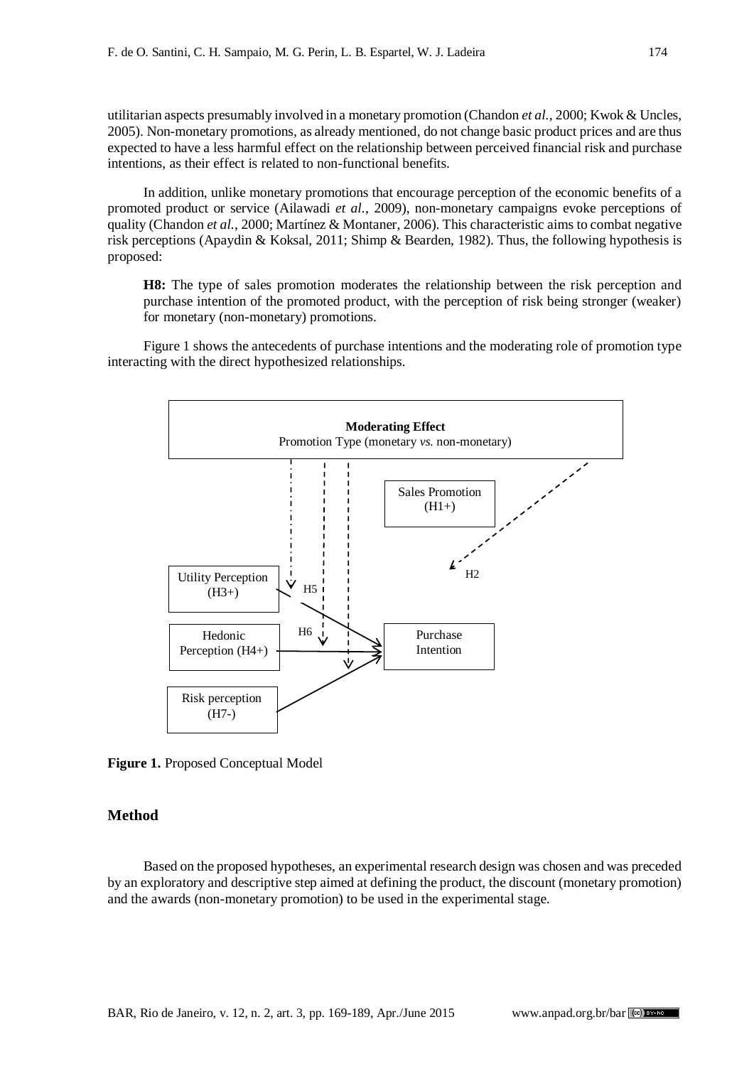utilitarian aspects presumably involved in a monetary promotion (Chandon *et al.*, 2000; Kwok & Uncles, 2005). Non-monetary promotions, as already mentioned, do not change basic product prices and are thus expected to have a less harmful effect on the relationship between perceived financial risk and purchase intentions, as their effect is related to non-functional benefits.

In addition, unlike monetary promotions that encourage perception of the economic benefits of a promoted product or service (Ailawadi *et al.*, 2009), non-monetary campaigns evoke perceptions of quality (Chandon *et al.*, 2000; Martínez & Montaner, 2006). This characteristic aims to combat negative risk perceptions (Apaydin & Koksal, 2011; Shimp & Bearden, 1982). Thus, the following hypothesis is proposed:

**H8:** The type of sales promotion moderates the relationship between the risk perception and purchase intention of the promoted product, with the perception of risk being stronger (weaker) for monetary (non-monetary) promotions.

Figure 1 shows the antecedents of purchase intentions and the moderating role of promotion type interacting with the direct hypothesized relationships.



**Figure 1.** Proposed Conceptual Model

# **Method**

Based on the proposed hypotheses, an experimental research design was chosen and was preceded by an exploratory and descriptive step aimed at defining the product, the discount (monetary promotion) and the awards (non-monetary promotion) to be used in the experimental stage.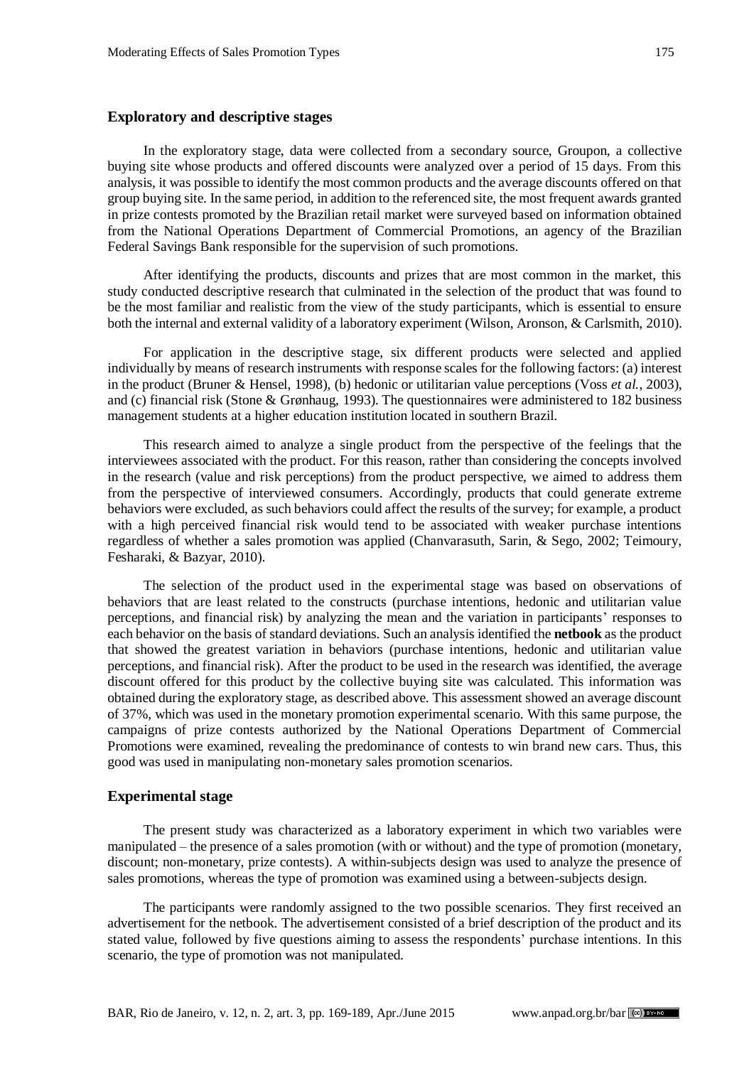## **Exploratory and descriptive stages**

In the exploratory stage, data were collected from a secondary source, Groupon, a collective buying site whose products and offered discounts were analyzed over a period of 15 days. From this analysis, it was possible to identify the most common products and the average discounts offered on that group buying site. In the same period, in addition to the referenced site, the most frequent awards granted in prize contests promoted by the Brazilian retail market were surveyed based on information obtained from the National Operations Department of Commercial Promotions, an agency of the Brazilian Federal Savings Bank responsible for the supervision of such promotions.

After identifying the products, discounts and prizes that are most common in the market, this study conducted descriptive research that culminated in the selection of the product that was found to be the most familiar and realistic from the view of the study participants, which is essential to ensure both the internal and external validity of a laboratory experiment (Wilson, Aronson, & Carlsmith, 2010).

For application in the descriptive stage, six different products were selected and applied individually by means of research instruments with response scales for the following factors: (a) interest in the product (Bruner & Hensel, 1998), (b) hedonic or utilitarian value perceptions (Voss *et al.*, 2003), and (c) financial risk (Stone & Grønhaug, 1993). The questionnaires were administered to 182 business management students at a higher education institution located in southern Brazil.

This research aimed to analyze a single product from the perspective of the feelings that the interviewees associated with the product. For this reason, rather than considering the concepts involved in the research (value and risk perceptions) from the product perspective, we aimed to address them from the perspective of interviewed consumers. Accordingly, products that could generate extreme behaviors were excluded, as such behaviors could affect the results of the survey; for example, a product with a high perceived financial risk would tend to be associated with weaker purchase intentions regardless of whether a sales promotion was applied (Chanvarasuth, Sarin, & Sego, 2002; Teimoury, Fesharaki, & Bazyar, 2010).

The selection of the product used in the experimental stage was based on observations of behaviors that are least related to the constructs (purchase intentions, hedonic and utilitarian value perceptions, and financial risk) by analyzing the mean and the variation in participants' responses to each behavior on the basis of standard deviations. Such an analysis identified the **netbook** as the product that showed the greatest variation in behaviors (purchase intentions, hedonic and utilitarian value perceptions, and financial risk). After the product to be used in the research was identified, the average discount offered for this product by the collective buying site was calculated. This information was obtained during the exploratory stage, as described above. This assessment showed an average discount of 37%, which was used in the monetary promotion experimental scenario. With this same purpose, the campaigns of prize contests authorized by the National Operations Department of Commercial Promotions were examined, revealing the predominance of contests to win brand new cars. Thus, this good was used in manipulating non-monetary sales promotion scenarios.

## **Experimental stage**

The present study was characterized as a laboratory experiment in which two variables were manipulated – the presence of a sales promotion (with or without) and the type of promotion (monetary, discount; non-monetary, prize contests). A within-subjects design was used to analyze the presence of sales promotions, whereas the type of promotion was examined using a between-subjects design.

The participants were randomly assigned to the two possible scenarios. They first received an advertisement for the netbook. The advertisement consisted of a brief description of the product and its stated value, followed by five questions aiming to assess the respondents' purchase intentions. In this scenario, the type of promotion was not manipulated.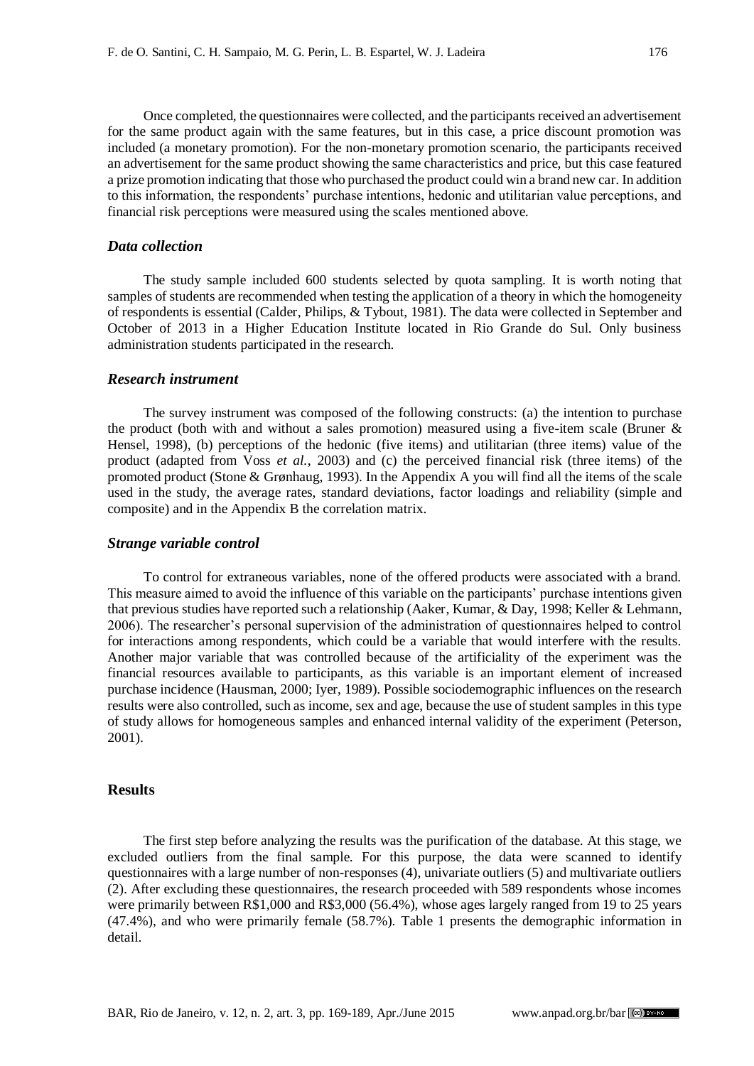Once completed, the questionnaires were collected, and the participants received an advertisement for the same product again with the same features, but in this case, a price discount promotion was included (a monetary promotion). For the non-monetary promotion scenario, the participants received an advertisement for the same product showing the same characteristics and price, but this case featured a prize promotion indicating that those who purchased the product could win a brand new car. In addition to this information, the respondents' purchase intentions, hedonic and utilitarian value perceptions, and financial risk perceptions were measured using the scales mentioned above.

## *Data collection*

The study sample included 600 students selected by quota sampling. It is worth noting that samples of students are recommended when testing the application of a theory in which the homogeneity of respondents is essential (Calder, Philips, & Tybout, 1981). The data were collected in September and October of 2013 in a Higher Education Institute located in Rio Grande do Sul. Only business administration students participated in the research.

#### *Research instrument*

The survey instrument was composed of the following constructs: (a) the intention to purchase the product (both with and without a sales promotion) measured using a five-item scale (Bruner & Hensel, 1998), (b) perceptions of the hedonic (five items) and utilitarian (three items) value of the product (adapted from Voss *et al.*, 2003) and (c) the perceived financial risk (three items) of the promoted product (Stone & Grønhaug, 1993). In the Appendix A you will find all the items of the scale used in the study, the average rates, standard deviations, factor loadings and reliability (simple and composite) and in the Appendix B the correlation matrix.

#### *Strange variable control*

To control for extraneous variables, none of the offered products were associated with a brand. This measure aimed to avoid the influence of this variable on the participants' purchase intentions given that previous studies have reported such a relationship (Aaker, Kumar, & Day, 1998; Keller & Lehmann, 2006). The researcher's personal supervision of the administration of questionnaires helped to control for interactions among respondents, which could be a variable that would interfere with the results. Another major variable that was controlled because of the artificiality of the experiment was the financial resources available to participants, as this variable is an important element of increased purchase incidence (Hausman, 2000; Iyer, 1989). Possible sociodemographic influences on the research results were also controlled, such as income, sex and age, because the use of student samples in this type of study allows for homogeneous samples and enhanced internal validity of the experiment (Peterson, 2001).

#### **Results**

The first step before analyzing the results was the purification of the database. At this stage, we excluded outliers from the final sample. For this purpose, the data were scanned to identify questionnaires with a large number of non-responses (4), univariate outliers (5) and multivariate outliers (2). After excluding these questionnaires, the research proceeded with 589 respondents whose incomes were primarily between R\$1,000 and R\$3,000 (56.4%), whose ages largely ranged from 19 to 25 years (47.4%), and who were primarily female (58.7%). Table 1 presents the demographic information in detail.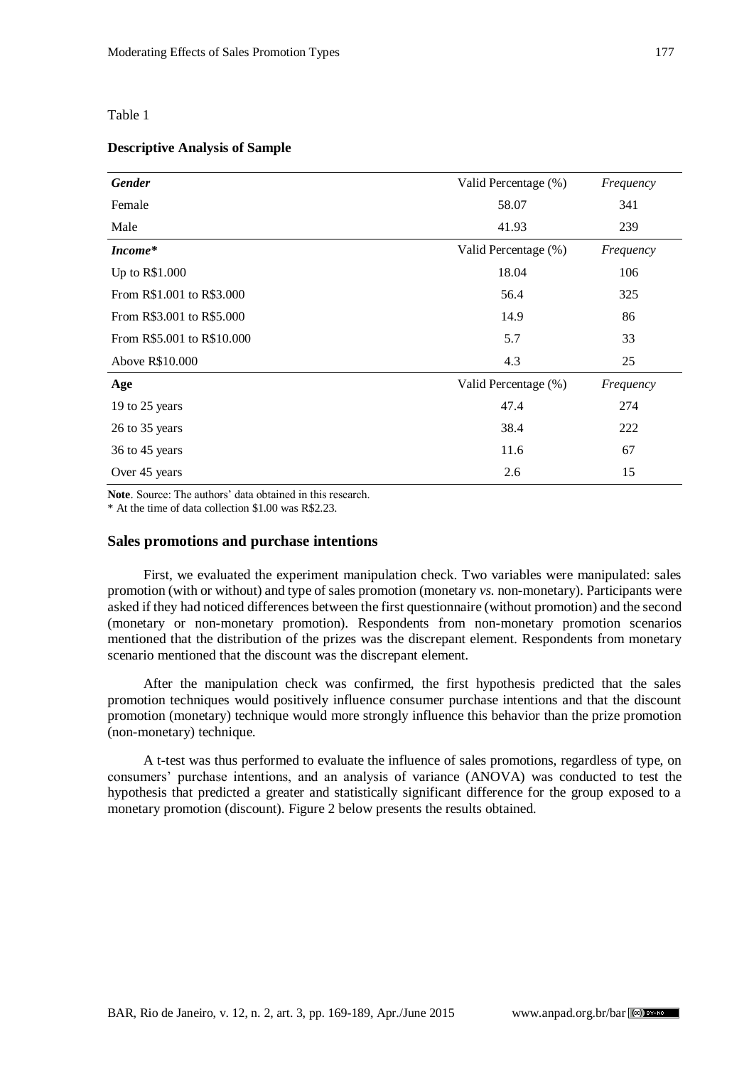Table 1

#### **Descriptive Analysis of Sample**

| <b>Gender</b>              | Valid Percentage (%) | Frequency |
|----------------------------|----------------------|-----------|
| Female                     | 58.07                | 341       |
| Male                       | 41.93                | 239       |
| Income*                    | Valid Percentage (%) | Frequency |
| Up to R\$1.000             | 18.04                | 106       |
| From R\$1.001 to R\$3.000  | 56.4                 | 325       |
| From R\$3.001 to R\$5.000  | 14.9                 | 86        |
| From R\$5.001 to R\$10.000 | 5.7                  | 33        |
| Above R\$10.000            | 4.3                  | 25        |
| Age                        | Valid Percentage (%) | Frequency |
| 19 to 25 years             | 47.4                 | 274       |
| 26 to 35 years             | 38.4                 | 222       |
| 36 to 45 years             | 11.6                 | 67        |
| Over 45 years              | 2.6                  | 15        |

**Note**. Source: The authors' data obtained in this research.

\* At the time of data collection \$1.00 was R\$2.23.

#### **Sales promotions and purchase intentions**

First, we evaluated the experiment manipulation check. Two variables were manipulated: sales promotion (with or without) and type of sales promotion (monetary *vs.* non-monetary). Participants were asked if they had noticed differences between the first questionnaire (without promotion) and the second (monetary or non-monetary promotion). Respondents from non-monetary promotion scenarios mentioned that the distribution of the prizes was the discrepant element. Respondents from monetary scenario mentioned that the discount was the discrepant element.

After the manipulation check was confirmed, the first hypothesis predicted that the sales promotion techniques would positively influence consumer purchase intentions and that the discount promotion (monetary) technique would more strongly influence this behavior than the prize promotion (non-monetary) technique.

A t-test was thus performed to evaluate the influence of sales promotions, regardless of type, on consumers' purchase intentions, and an analysis of variance (ANOVA) was conducted to test the hypothesis that predicted a greater and statistically significant difference for the group exposed to a monetary promotion (discount). Figure 2 below presents the results obtained.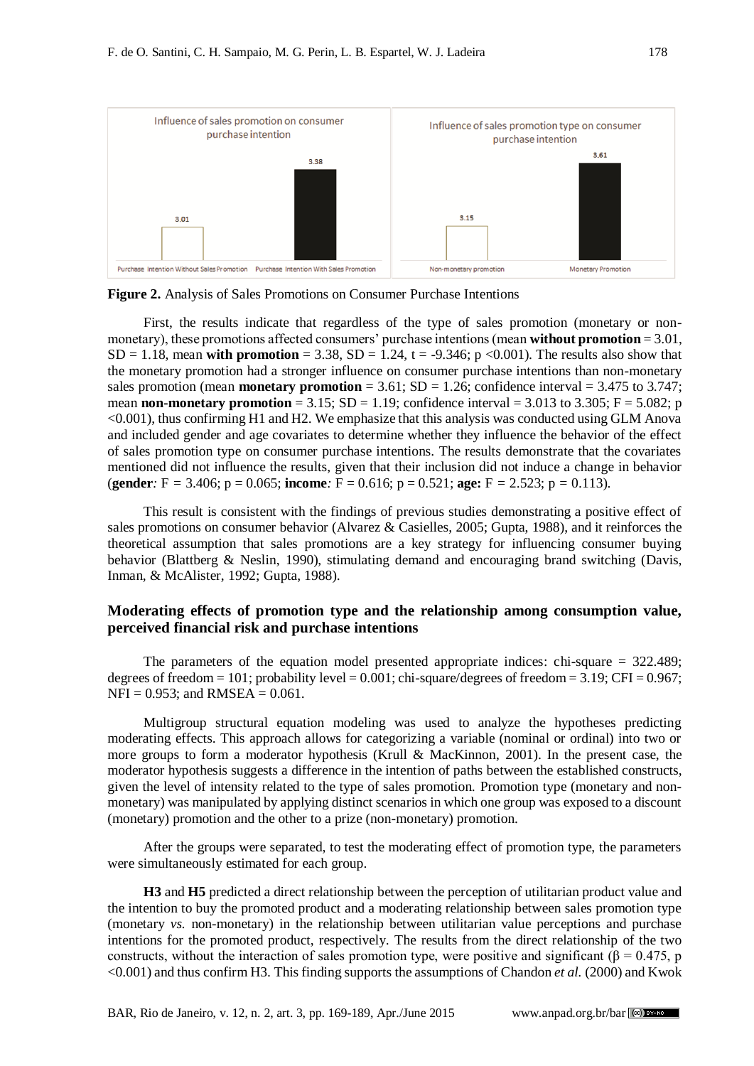

**Figure 2.** Analysis of Sales Promotions on Consumer Purchase Intentions

First, the results indicate that regardless of the type of sales promotion (monetary or nonmonetary), these promotions affected consumers' purchase intentions (mean **without promotion** = 3.01,  $SD = 1.18$ , mean **with promotion** = 3.38,  $SD = 1.24$ , t = -9.346; p <0.001). The results also show that the monetary promotion had a stronger influence on consumer purchase intentions than non-monetary sales promotion (mean **monetary promotion** =  $3.61$ ; SD =  $1.26$ ; confidence interval =  $3.475$  to  $3.747$ ; mean **non-monetary promotion** = 3.15;  $SD = 1.19$ ; confidence interval = 3.013 to 3.305;  $F = 5.082$ ; p <0.001), thus confirming H1 and H2. We emphasize that this analysis was conducted using GLM Anova and included gender and age covariates to determine whether they influence the behavior of the effect of sales promotion type on consumer purchase intentions. The results demonstrate that the covariates mentioned did not influence the results, given that their inclusion did not induce a change in behavior (**gender***:* F *=* 3.406; p = 0.065; **income***:* F = 0.616; p = 0.521; **age:** F *=* 2.523; p *=* 0.113).

This result is consistent with the findings of previous studies demonstrating a positive effect of sales promotions on consumer behavior (Alvarez & Casielles, 2005; Gupta, 1988), and it reinforces the theoretical assumption that sales promotions are a key strategy for influencing consumer buying behavior (Blattberg & Neslin, 1990), stimulating demand and encouraging brand switching (Davis, Inman, & McAlister, 1992; Gupta, 1988).

## **Moderating effects of promotion type and the relationship among consumption value, perceived financial risk and purchase intentions**

The parameters of the equation model presented appropriate indices: chi-square = 322.489; degrees of freedom = 101; probability level =  $0.001$ ; chi-square/degrees of freedom =  $3.19$ ; CFI =  $0.967$ ;  $NFI = 0.953$ ; and  $RMSEA = 0.061$ .

Multigroup structural equation modeling was used to analyze the hypotheses predicting moderating effects. This approach allows for categorizing a variable (nominal or ordinal) into two or more groups to form a moderator hypothesis (Krull & MacKinnon, 2001). In the present case, the moderator hypothesis suggests a difference in the intention of paths between the established constructs, given the level of intensity related to the type of sales promotion. Promotion type (monetary and nonmonetary) was manipulated by applying distinct scenarios in which one group was exposed to a discount (monetary) promotion and the other to a prize (non-monetary) promotion.

After the groups were separated, to test the moderating effect of promotion type, the parameters were simultaneously estimated for each group.

**H3** and **H5** predicted a direct relationship between the perception of utilitarian product value and the intention to buy the promoted product and a moderating relationship between sales promotion type (monetary *vs.* non-monetary) in the relationship between utilitarian value perceptions and purchase intentions for the promoted product, respectively. The results from the direct relationship of the two constructs, without the interaction of sales promotion type, were positive and significant ( $\beta = 0.475$ , p <0.001) and thus confirm H3. This finding supports the assumptions of Chandon *et al.* (2000) and Kwok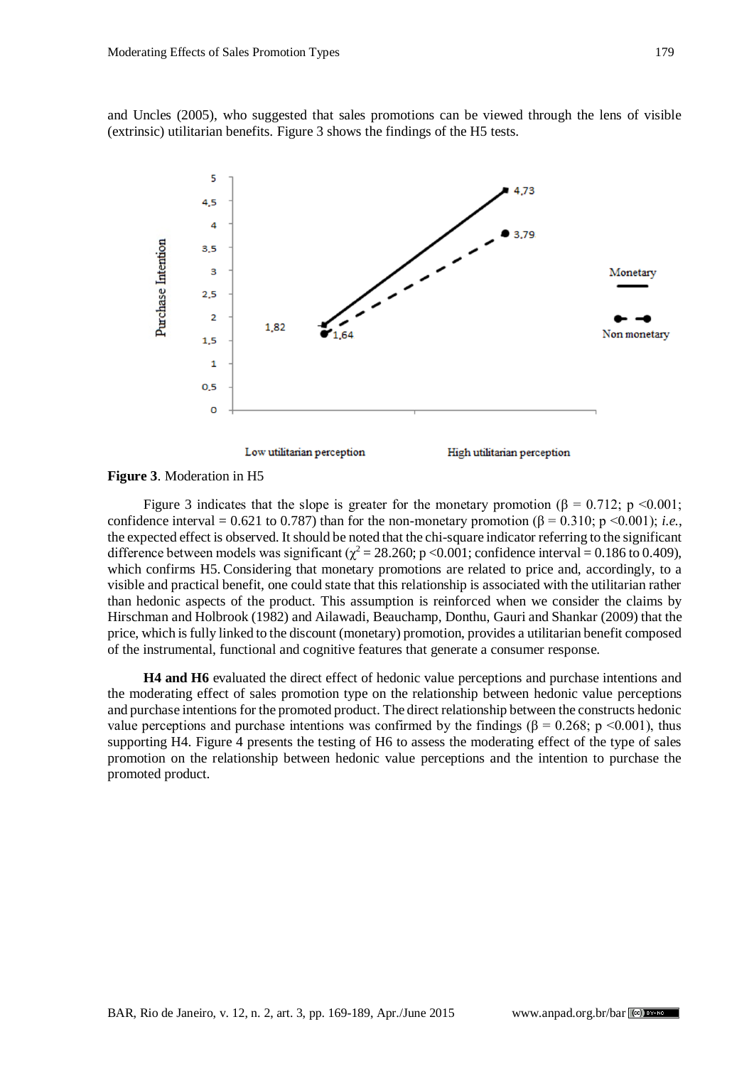and Uncles (2005), who suggested that sales promotions can be viewed through the lens of visible (extrinsic) utilitarian benefits. Figure 3 shows the findings of the H5 tests.



#### **Figure 3**. Moderation in H5

Figure 3 indicates that the slope is greater for the monetary promotion ( $\beta = 0.712$ ; p <0.001; confidence interval = 0.621 to 0.787) than for the non-monetary promotion (β = 0.310; p <0.001); *i.e.*, the expected effect is observed. It should be noted that the chi-square indicator referring to the significant difference between models was significant ( $\gamma^2 = 28.260$ ; p <0.001; confidence interval = 0.186 to 0.409), which confirms H5. Considering that monetary promotions are related to price and, accordingly, to a visible and practical benefit, one could state that this relationship is associated with the utilitarian rather than hedonic aspects of the product. This assumption is reinforced when we consider the claims by Hirschman and Holbrook (1982) and Ailawadi, Beauchamp, Donthu, Gauri and Shankar (2009) that the price, which is fully linked to the discount (monetary) promotion, provides a utilitarian benefit composed of the instrumental, functional and cognitive features that generate a consumer response.

**H4 and H6** evaluated the direct effect of hedonic value perceptions and purchase intentions and the moderating effect of sales promotion type on the relationship between hedonic value perceptions and purchase intentions for the promoted product. The direct relationship between the constructs hedonic value perceptions and purchase intentions was confirmed by the findings (β = 0.268; p <0.001), thus supporting H4. Figure 4 presents the testing of H6 to assess the moderating effect of the type of sales promotion on the relationship between hedonic value perceptions and the intention to purchase the promoted product.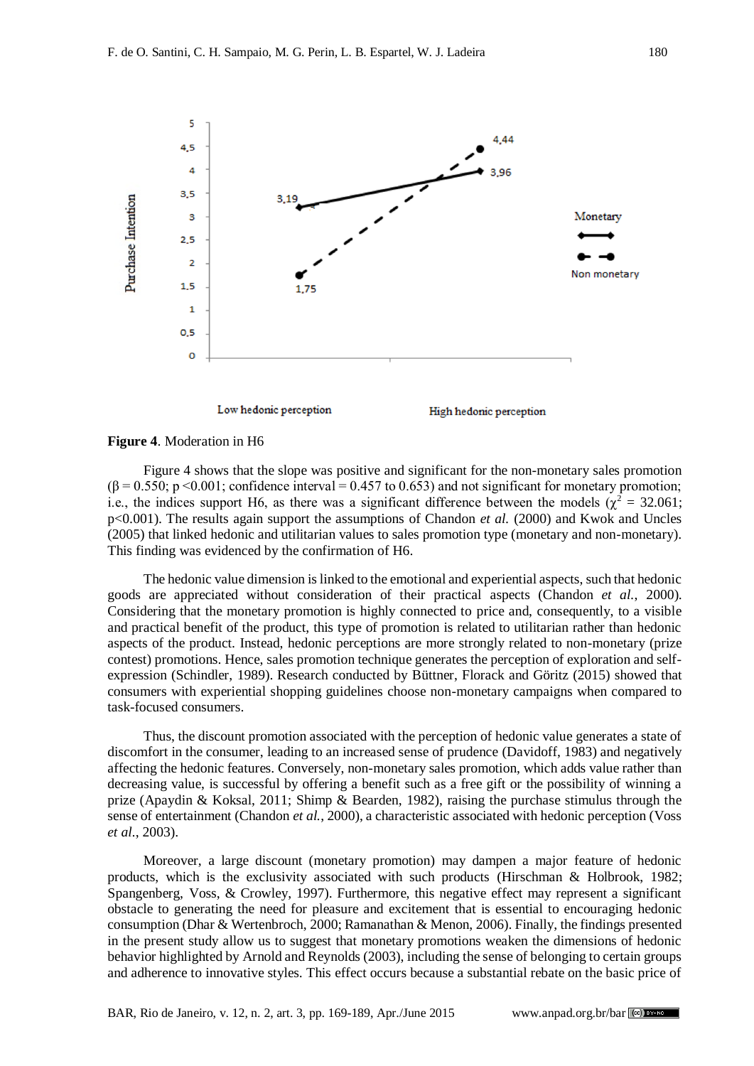

#### **Figure 4**. Moderation in H6

Figure 4 shows that the slope was positive and significant for the non-monetary sales promotion  $(\beta = 0.550; p \le 0.001;$  confidence interval = 0.457 to 0.653) and not significant for monetary promotion; i.e., the indices support H6, as there was a significant difference between the models ( $\chi^2 = 32.061$ ; p<0.001). The results again support the assumptions of Chandon *et al.* (2000) and Kwok and Uncles (2005) that linked hedonic and utilitarian values to sales promotion type (monetary and non-monetary). This finding was evidenced by the confirmation of H6.

The hedonic value dimension is linked to the emotional and experiential aspects, such that hedonic goods are appreciated without consideration of their practical aspects (Chandon *et al.*, 2000). Considering that the monetary promotion is highly connected to price and, consequently, to a visible and practical benefit of the product, this type of promotion is related to utilitarian rather than hedonic aspects of the product. Instead, hedonic perceptions are more strongly related to non-monetary (prize contest) promotions. Hence, sales promotion technique generates the perception of exploration and selfexpression (Schindler, 1989). Research conducted by Büttner, Florack and Göritz (2015) showed that consumers with experiential shopping guidelines choose non-monetary campaigns when compared to task-focused consumers.

Thus, the discount promotion associated with the perception of hedonic value generates a state of discomfort in the consumer, leading to an increased sense of prudence (Davidoff, 1983) and negatively affecting the hedonic features. Conversely, non-monetary sales promotion, which adds value rather than decreasing value, is successful by offering a benefit such as a free gift or the possibility of winning a prize (Apaydin & Koksal, 2011; Shimp & Bearden, 1982), raising the purchase stimulus through the sense of entertainment (Chandon *et al.*, 2000), a characteristic associated with hedonic perception (Voss *et al.*, 2003).

Moreover, a large discount (monetary promotion) may dampen a major feature of hedonic products, which is the exclusivity associated with such products (Hirschman & Holbrook, 1982; Spangenberg, Voss, & Crowley, 1997). Furthermore, this negative effect may represent a significant obstacle to generating the need for pleasure and excitement that is essential to encouraging hedonic consumption (Dhar & Wertenbroch, 2000; Ramanathan & Menon, 2006). Finally, the findings presented in the present study allow us to suggest that monetary promotions weaken the dimensions of hedonic behavior highlighted by Arnold and Reynolds (2003), including the sense of belonging to certain groups and adherence to innovative styles. This effect occurs because a substantial rebate on the basic price of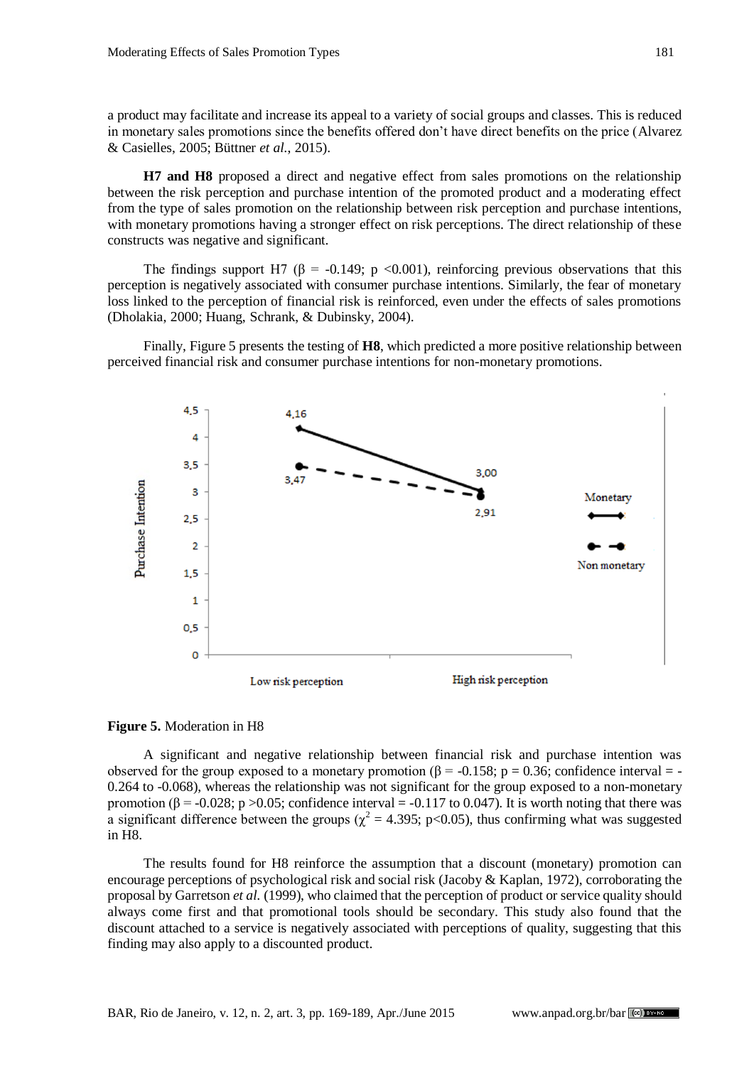a product may facilitate and increase its appeal to a variety of social groups and classes. This is reduced in monetary sales promotions since the benefits offered don't have direct benefits on the price (Alvarez & Casielles, 2005; Büttner *et al.*, 2015).

**H7 and H8** proposed a direct and negative effect from sales promotions on the relationship between the risk perception and purchase intention of the promoted product and a moderating effect from the type of sales promotion on the relationship between risk perception and purchase intentions, with monetary promotions having a stronger effect on risk perceptions. The direct relationship of these constructs was negative and significant.

The findings support H7 ( $\beta$  = -0.149; p <0.001), reinforcing previous observations that this perception is negatively associated with consumer purchase intentions. Similarly, the fear of monetary loss linked to the perception of financial risk is reinforced, even under the effects of sales promotions (Dholakia, 2000; Huang, Schrank, & Dubinsky, 2004).

Finally, Figure 5 presents the testing of **H8**, which predicted a more positive relationship between perceived financial risk and consumer purchase intentions for non-monetary promotions.



**Figure 5.** Moderation in H8

A significant and negative relationship between financial risk and purchase intention was observed for the group exposed to a monetary promotion ( $\beta$  = -0.158; p = 0.36; confidence interval = -0.264 to -0.068), whereas the relationship was not significant for the group exposed to a non-monetary promotion ( $\beta$  = -0.028; p >0.05; confidence interval = -0.117 to 0.047). It is worth noting that there was a significant difference between the groups ( $\chi^2$  = 4.395; p<0.05), thus confirming what was suggested in H8.

The results found for H8 reinforce the assumption that a discount (monetary) promotion can encourage perceptions of psychological risk and social risk (Jacoby & Kaplan, 1972), corroborating the proposal by Garretson *et al.* (1999), who claimed that the perception of product or service quality should always come first and that promotional tools should be secondary. This study also found that the discount attached to a service is negatively associated with perceptions of quality, suggesting that this finding may also apply to a discounted product.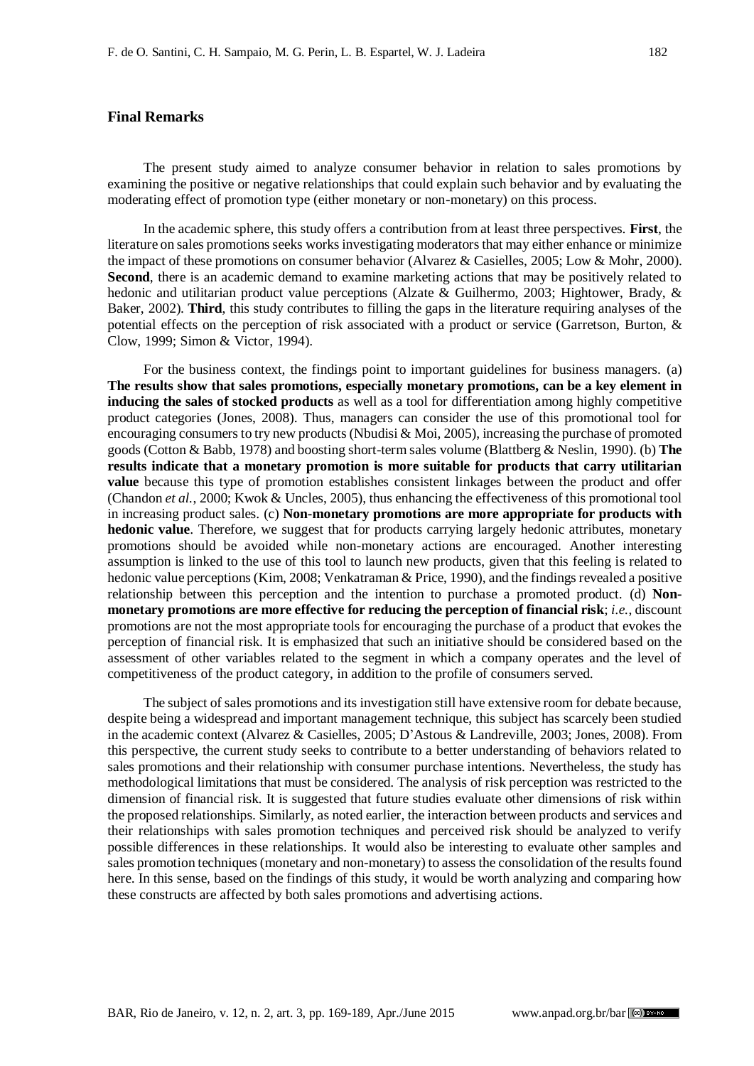## **Final Remarks**

The present study aimed to analyze consumer behavior in relation to sales promotions by examining the positive or negative relationships that could explain such behavior and by evaluating the moderating effect of promotion type (either monetary or non-monetary) on this process.

In the academic sphere, this study offers a contribution from at least three perspectives. **First**, the literature on sales promotions seeks works investigating moderators that may either enhance or minimize the impact of these promotions on consumer behavior (Alvarez & Casielles, 2005; Low & Mohr, 2000). **Second**, there is an academic demand to examine marketing actions that may be positively related to hedonic and utilitarian product value perceptions (Alzate & Guilhermo, 2003; Hightower, Brady, & Baker, 2002). **Third**, this study contributes to filling the gaps in the literature requiring analyses of the potential effects on the perception of risk associated with a product or service (Garretson, Burton, & Clow, 1999; Simon & Victor, 1994).

For the business context, the findings point to important guidelines for business managers. (a) **The results show that sales promotions, especially monetary promotions, can be a key element in inducing the sales of stocked products** as well as a tool for differentiation among highly competitive product categories (Jones, 2008). Thus, managers can consider the use of this promotional tool for encouraging consumers to try new products (Nbudisi  $\&$  Moi, 2005), increasing the purchase of promoted goods (Cotton & Babb, 1978) and boosting short-term sales volume (Blattberg & Neslin, 1990). (b) **The results indicate that a monetary promotion is more suitable for products that carry utilitarian value** because this type of promotion establishes consistent linkages between the product and offer (Chandon *et al.*, 2000; Kwok & Uncles, 2005), thus enhancing the effectiveness of this promotional tool in increasing product sales. (c) **Non-monetary promotions are more appropriate for products with hedonic value**. Therefore, we suggest that for products carrying largely hedonic attributes, monetary promotions should be avoided while non-monetary actions are encouraged. Another interesting assumption is linked to the use of this tool to launch new products, given that this feeling is related to hedonic value perceptions (Kim, 2008; Venkatraman & Price, 1990), and the findings revealed a positive relationship between this perception and the intention to purchase a promoted product. (d) **Nonmonetary promotions are more effective for reducing the perception of financial risk**; *i.e.*, discount promotions are not the most appropriate tools for encouraging the purchase of a product that evokes the perception of financial risk. It is emphasized that such an initiative should be considered based on the assessment of other variables related to the segment in which a company operates and the level of competitiveness of the product category, in addition to the profile of consumers served.

The subject of sales promotions and its investigation still have extensive room for debate because, despite being a widespread and important management technique, this subject has scarcely been studied in the academic context (Alvarez & Casielles, 2005; D'Astous & Landreville, 2003; Jones, 2008). From this perspective, the current study seeks to contribute to a better understanding of behaviors related to sales promotions and their relationship with consumer purchase intentions. Nevertheless, the study has methodological limitations that must be considered. The analysis of risk perception was restricted to the dimension of financial risk. It is suggested that future studies evaluate other dimensions of risk within the proposed relationships. Similarly, as noted earlier, the interaction between products and services and their relationships with sales promotion techniques and perceived risk should be analyzed to verify possible differences in these relationships. It would also be interesting to evaluate other samples and sales promotion techniques (monetary and non-monetary) to assess the consolidation of the results found here. In this sense, based on the findings of this study, it would be worth analyzing and comparing how these constructs are affected by both sales promotions and advertising actions.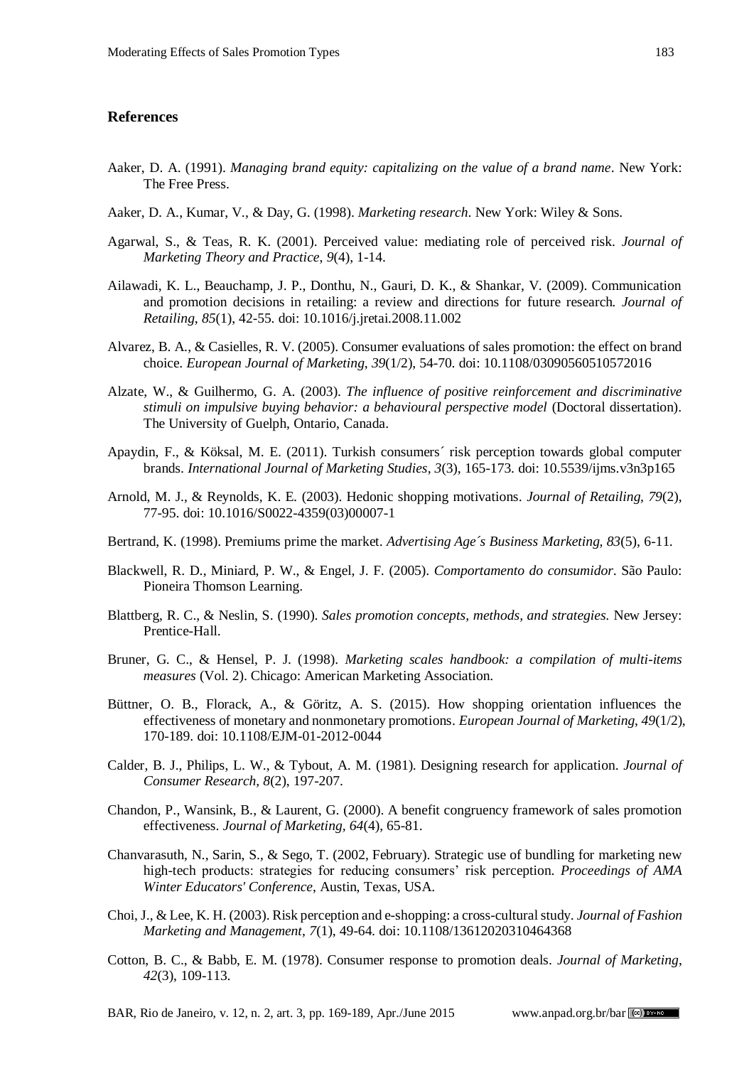#### **References**

- Aaker, D. A. (1991). *Managing brand equity: capitalizing on the value of a brand name*. New York: The Free Press.
- Aaker, D. A., Kumar, V., & Day, G. (1998). *Marketing research*. New York: Wiley & Sons.
- Agarwal, S., & Teas, R. K. (2001). Perceived value: mediating role of perceived risk. *Journal of Marketing Theory and Practice*, *9*(4), 1-14.
- Ailawadi, K. L., Beauchamp, J. P., Donthu, N., Gauri, D. K., & Shankar, V. (2009). Communication and promotion decisions in retailing: a review and directions for future research*. Journal of Retailing*, *85*(1), 42-55. doi: 10.1016/j.jretai.2008.11.002
- Alvarez, B. A., & Casielles, R. V. (2005). Consumer evaluations of sales promotion: the effect on brand choice. *European Journal of Marketing*, *39*(1/2), 54-70. doi: 10.1108/03090560510572016
- Alzate, W., & Guilhermo, G. A. (2003). *The influence of positive reinforcement and discriminative stimuli on impulsive buying behavior: a behavioural perspective model* (Doctoral dissertation). The University of Guelph, Ontario, Canada.
- Apaydin, F., & Köksal, M. E. (2011). Turkish consumers´ risk perception towards global computer brands. *International Journal of Marketing Studies*, *3*(3), 165-173. doi: 10.5539/ijms.v3n3p165
- Arnold, M. J., & Reynolds, K. E. (2003). Hedonic shopping motivations. *Journal of Retailing, 79*(2), 77-95. doi: 10.1016/S0022-4359(03)00007-1
- Bertrand, K. (1998). Premiums prime the market. *Advertising Age´s Business Marketing, 83*(5), 6-11.
- Blackwell, R. D., Miniard, P. W., & Engel, J. F. (2005). *Comportamento do consumidor*. São Paulo: Pioneira Thomson Learning.
- Blattberg, R. C., & Neslin, S. (1990). *Sales promotion concepts, methods, and strategies.* New Jersey: Prentice-Hall.
- Bruner, G. C., & Hensel, P. J. (1998). *Marketing scales handbook: a compilation of multi-items measures* (Vol. 2). Chicago: American Marketing Association.
- Büttner, O. B., Florack, A., & Göritz, A. S. (2015). How shopping orientation influences the effectiveness of monetary and nonmonetary promotions. *European Journal of Marketing*, *49*(1/2), 170-189. doi: 10.1108/EJM-01-2012-0044
- Calder, B. J., Philips, L. W., & Tybout, A. M. (1981). Designing research for application. *Journal of Consumer Research, 8*(2), 197-207.
- Chandon, P., Wansink, B., & Laurent, G. (2000). A benefit congruency framework of sales promotion effectiveness. *Journal of Marketing, 64*(4), 65-81.
- Chanvarasuth, N., Sarin, S., & Sego, T. (2002, February). Strategic use of bundling for marketing new high-tech products: strategies for reducing consumers' risk perception. *Proceedings of AMA Winter Educators' Conference*, Austin, Texas, USA.
- Choi, J., & Lee, K. H. (2003). Risk perception and e-shopping: a cross-cultural study. *Journal of Fashion Marketing and Management*, *7*(1), 49-64. doi: 10.1108/13612020310464368
- Cotton, B. C., & Babb, E. M. (1978). Consumer response to promotion deals. *Journal of Marketing*, *42*(3), 109-113.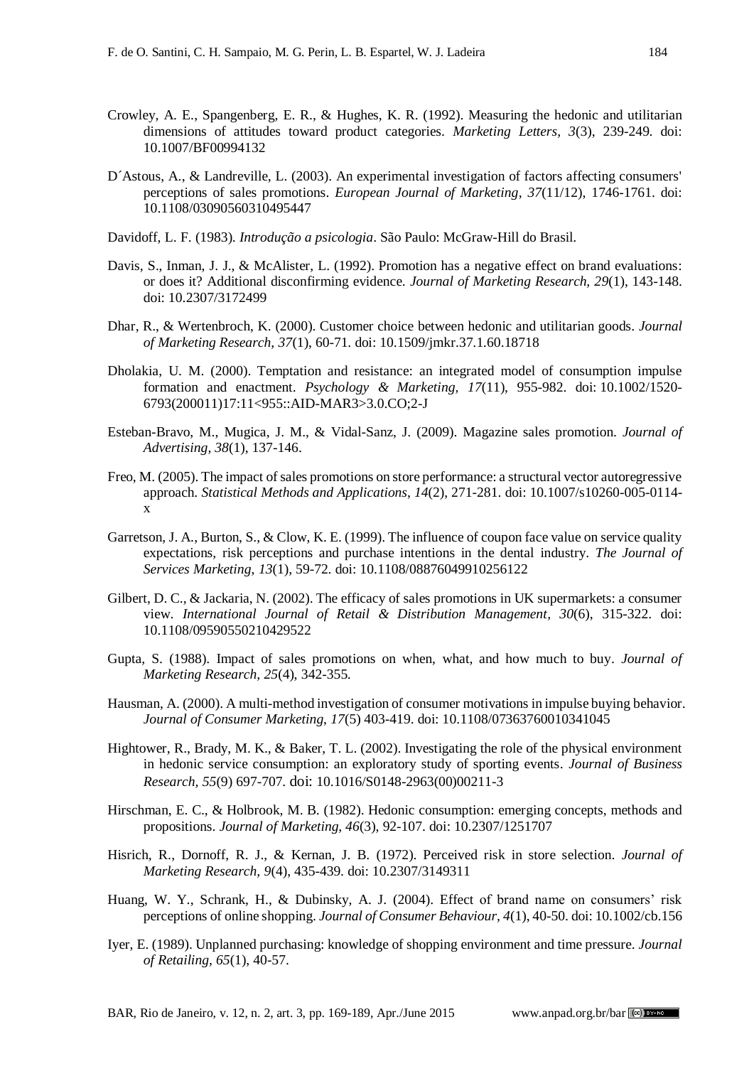- Crowley, A. E., Spangenberg, E. R., & Hughes, K. R. (1992). Measuring the hedonic and utilitarian dimensions of attitudes toward product categories. *Marketing Letters, 3*(3), 239-249. doi: 10.1007/BF00994132
- D´Astous, A., & Landreville, L. (2003). An experimental investigation of factors affecting consumers' perceptions of sales promotions. *European Journal of Marketing*, *37*(11/12), 1746-1761. doi: 10.1108/03090560310495447
- Davidoff, L. F. (1983). *Introdução a psicologia*. São Paulo: McGraw-Hill do Brasil.
- Davis, S., Inman, J. J., & McAlister, L. (1992). Promotion has a negative effect on brand evaluations: or does it? Additional disconfirming evidence. *Journal of Marketing Research, 29*(1), 143-148. doi: 10.2307/3172499
- Dhar, R., & Wertenbroch, K. (2000). Customer choice between hedonic and utilitarian goods. *Journal of Marketing Research, 37*(1), 60-71. doi: 10.1509/jmkr.37.1.60.18718
- Dholakia, U. M. (2000). Temptation and resistance: an integrated model of consumption impulse formation and enactment. *Psychology & Marketing, 17*(11), 955-982. doi: 10.1002/1520- 6793(200011)17:11<955::AID-MAR3>3.0.CO;2-J
- Esteban-Bravo, M., Mugica, J. M., & Vidal-Sanz, J. (2009). Magazine sales promotion. *Journal of Advertising, 38*(1), 137-146.
- Freo, M. (2005). The impact of sales promotions on store performance: a structural vector autoregressive approach. *Statistical Methods and Applications*, *14*(2), 271-281. doi: 10.1007/s10260-005-0114 x
- Garretson, J. A., Burton, S., & Clow, K. E. (1999). The influence of coupon face value on service quality expectations, risk perceptions and purchase intentions in the dental industry. *The Journal of Services Marketing*, *13*(1), 59-72. doi: 10.1108/08876049910256122
- Gilbert, D. C., & Jackaria, N. (2002). The efficacy of sales promotions in UK supermarkets: a consumer view. *International Journal of Retail & Distribution Management, 30*(6), 315-322. doi: 10.1108/09590550210429522
- Gupta, S. (1988). Impact of sales promotions on when, what, and how much to buy. *Journal of Marketing Research, 25*(4), 342-355.
- Hausman, A. (2000). A multi-method investigation of consumer motivations in impulse buying behavior. *Journal of Consumer Marketing*, *17*(5) 403-419. doi: 10.1108/07363760010341045
- Hightower, R., Brady, M. K., & Baker, T. L. (2002). Investigating the role of the physical environment in hedonic service consumption: an exploratory study of sporting events. *Journal of Business Research, 55*(9) 697-707. doi: 10.1016/S0148-2963(00)00211-3
- Hirschman, E. C., & Holbrook, M. B. (1982). Hedonic consumption: emerging concepts, methods and propositions. *Journal of Marketing, 46*(3), 92-107. doi: 10.2307/1251707
- Hisrich, R., Dornoff, R. J., & Kernan, J. B. (1972). Perceived risk in store selection. *Journal of Marketing Research, 9*(4), 435-439. doi: 10.2307/3149311
- Huang, W. Y., Schrank, H., & Dubinsky, A. J. (2004). Effect of brand name on consumers' risk perceptions of online shopping. *Journal of Consumer Behaviour, 4*(1), 40-50. doi: 10.1002/cb.156
- Iyer, E. (1989). Unplanned purchasing: knowledge of shopping environment and time pressure. *Journal of Retailing, 65*(1), 40-57.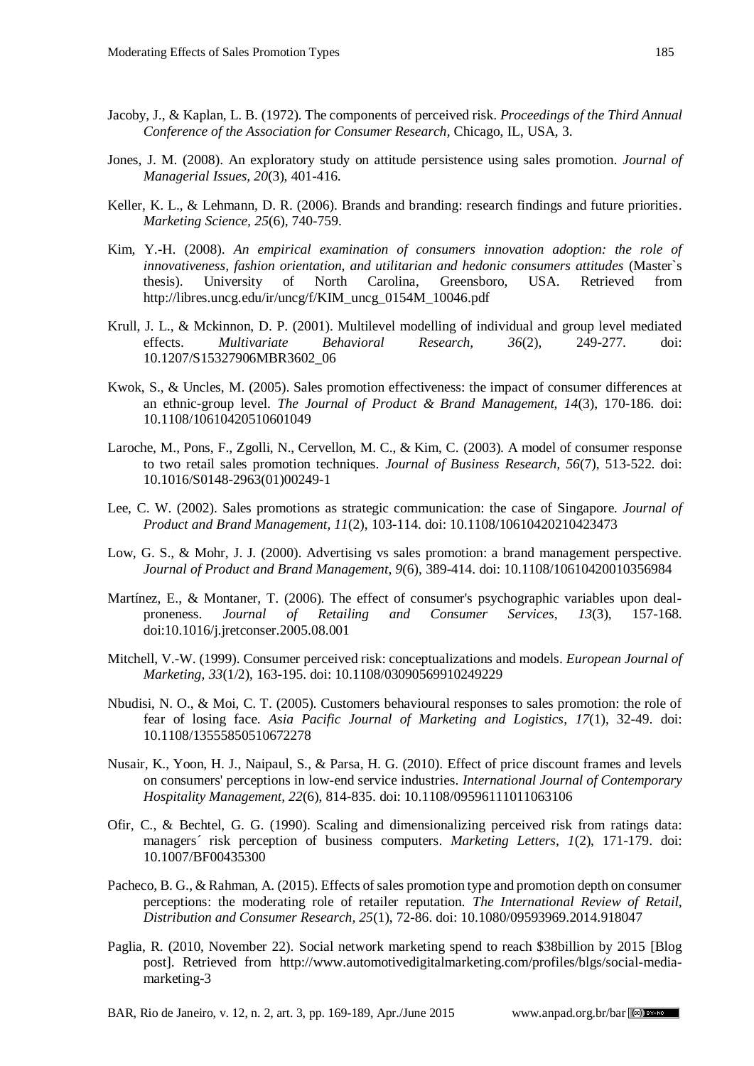- Jacoby, J., & Kaplan, L. B. (1972). The components of perceived risk. *Proceedings of the Third Annual Conference of the Association for Consumer Research*, Chicago, IL, USA, 3.
- Jones, J. M. (2008). An exploratory study on attitude persistence using sales promotion. *Journal of Managerial Issues, 20*(3), 401-416.
- Keller, K. L., & Lehmann, D. R. (2006). Brands and branding: research findings and future priorities. *Marketing Science, 25*(6), 740-759.
- Kim, Y.-H. (2008). *An empirical examination of consumers innovation adoption: the role of innovativeness, fashion orientation, and utilitarian and hedonic consumers attitudes* (Master`s thesis). University of North Carolina, Greensboro, USA. Retrieved from http://libres.uncg.edu/ir/uncg/f/KIM\_uncg\_0154M\_10046.pdf
- Krull, J. L., & Mckinnon, D. P. (2001). Multilevel modelling of individual and group level mediated effects. *Multivariate Behavioral Research, 36*(2), 249-277. doi: 10.1207/S15327906MBR3602\_06
- Kwok, S., & Uncles, M. (2005). Sales promotion effectiveness: the impact of consumer differences at an ethnic-group level. *The Journal of Product & Brand Management, 14*(3), 170-186. doi: 10.1108/10610420510601049
- Laroche, M., Pons, F., Zgolli, N., Cervellon, M. C., & Kim, C. (2003). A model of consumer response to two retail sales promotion techniques. *Journal of Business Research, 56*(7), 513-522. doi: 10.1016/S0148-2963(01)00249-1
- Lee, C. W. (2002). Sales promotions as strategic communication: the case of Singapore. *Journal of Product and Brand Management, 11*(2), 103-114. [doi: 10.1108/10610420210423473](http://dx.doi.org/10.1108/10610420210423473)
- Low, G. S., & Mohr, J. J. (2000). Advertising vs sales promotion: a brand management perspective. *Journal of Product and Brand Management, 9*(6), 389-414. [doi: 10.1108/10610420010356984](http://dx.doi.org/10.1108/10610420010356984)
- Martínez, E., & Montaner, T. (2006). The effect of consumer's psychographic variables upon dealproneness. *Journal of Retailing and Consumer Services*, *13*(3), 157-168. [doi:10.1016/j.jretconser.2005.08.001](http://dx.doi.org/10.1016/j.jretconser.2005.08.001)
- Mitchell, V.-W. (1999). Consumer perceived risk: conceptualizations and models. *European Journal of Marketing, 33*(1/2), 163-195. doi: 10.1108/03090569910249229
- Nbudisi, N. O., & Moi, C. T. (2005). Customers behavioural responses to sales promotion: the role of fear of losing face. *Asia Pacific Journal of Marketing and Logistics*, *17*(1), 32-49. doi: 10.1108/13555850510672278
- Nusair, K., Yoon, H. J., Naipaul, S., & Parsa, H. G. (2010). Effect of price discount frames and levels on consumers' perceptions in low-end service industries. *International Journal of Contemporary Hospitality Management, 22*(6), 814-835. doi: 10.1108/09596111011063106
- Ofir, C., & Bechtel, G. G. (1990). Scaling and dimensionalizing perceived risk from ratings data: managers´ risk perception of business computers. *Marketing Letters, 1*(2), 171-179. doi: 10.1007/BF00435300
- Pacheco, B. G., & Rahman, A. (2015). Effects of sales promotion type and promotion depth on consumer perceptions: the moderating role of retailer reputation. *The International Review of Retail, Distribution and Consumer Research, 25*(1), 72-86. doi: 10.1080/09593969.2014.918047
- Paglia, R. (2010, November 22). Social network marketing spend to reach \$38billion by 2015 [Blog post]. Retrieved from http://www.automotivedigitalmarketing.com/profiles/blgs/social-mediamarketing-3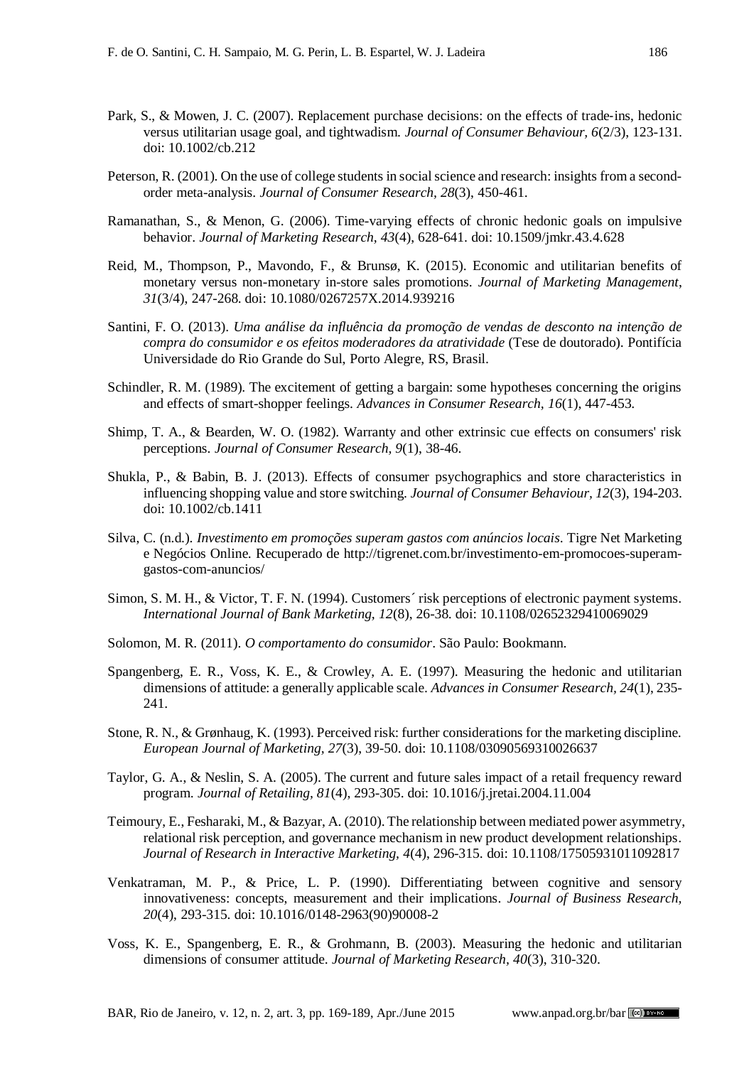- Park, S., & Mowen, J. C. (2007). Replacement purchase decisions: on the effects of trade‐ins, hedonic versus utilitarian usage goal, and tightwadism. *Journal of Consumer Behaviour, 6*(2/3), 123-131. doi: 10.1002/cb.212
- Peterson, R. (2001). On the use of college students in social science and research: insights from a secondorder meta-analysis. *Journal of Consumer Research, 28*(3), 450-461.
- Ramanathan, S., & Menon, G. (2006). Time-varying effects of chronic hedonic goals on impulsive behavior. *Journal of Marketing Research, 43*(4), 628-641. doi: 10.1509/jmkr.43.4.628
- Reid, M., Thompson, P., Mavondo, F., & Brunsø, K. (2015). Economic and utilitarian benefits of monetary versus non-monetary in-store sales promotions. *Journal of Marketing Management*, *31*(3/4), 247-268. doi: 10.1080/0267257X.2014.939216
- Santini, F. O. (2013). *Uma análise da influência da promoção de vendas de desconto na intenção de compra do consumidor e os efeitos moderadores da atratividade* (Tese de doutorado). Pontifícia Universidade do Rio Grande do Sul, Porto Alegre, RS, Brasil.
- Schindler, R. M. (1989). The excitement of getting a bargain: some hypotheses concerning the origins and effects of smart-shopper feelings. *Advances in Consumer Research, 16*(1), 447-453.
- Shimp, T. A., & Bearden, W. O. (1982). Warranty and other extrinsic cue effects on consumers' risk perceptions. *Journal of Consumer Research, 9*(1), 38-46.
- Shukla, P., & Babin, B. J. (2013). Effects of consumer psychographics and store characteristics in influencing shopping value and store switching. *Journal of Consumer Behaviour, 12*(3), 194-203. doi: 10.1002/cb.1411
- Silva, C. (n.d.). *Investimento em promoções superam gastos com anúncios locais*. Tigre Net Marketing e Negócios Online. Recuperado de http://tigrenet.com.br/investimento-em-promocoes-superamgastos-com-anuncios/
- Simon, S. M. H., & Victor, T. F. N. (1994). Customers´ risk perceptions of electronic payment systems. *International Journal of Bank Marketing, 12*(8), 26-38. doi: 10.1108/02652329410069029
- Solomon, M. R. (2011). *O comportamento do consumidor*. São Paulo: Bookmann.
- Spangenberg, E. R., Voss, K. E., & Crowley, A. E. (1997). Measuring the hedonic and utilitarian dimensions of attitude: a generally applicable scale. *Advances in Consumer Research, 24*(1), 235- 241.
- Stone, R. N., & Grønhaug, K. (1993). Perceived risk: further considerations for the marketing discipline. *European Journal of Marketing, 27*(3), 39-50. doi: 10.1108/03090569310026637
- Taylor, G. A., & Neslin, S. A. (2005). The current and future sales impact of a retail frequency reward program. *Journal of Retailing, 81*(4), 293-305. doi: 10.1016/j.jretai.2004.11.004
- Teimoury, E., Fesharaki, M., & Bazyar, A. (2010). The relationship between mediated power asymmetry, relational risk perception, and governance mechanism in new product development relationships. *Journal of Research in Interactive Marketing, 4*(4), 296-315. [doi: 10.1108/17505931011092817](http://dx.doi.org/10.1108/17505931011092817)
- Venkatraman, M. P., & Price, L. P. (1990). Differentiating between cognitive and sensory innovativeness: concepts, measurement and their implications. *Journal of Business Research, 20*(4), 293-315. doi: 10.1016/0148-2963(90)90008-2
- Voss, K. E., Spangenberg, E. R., & Grohmann, B. (2003). Measuring the hedonic and utilitarian dimensions of consumer attitude. *Journal of Marketing Research, 40*(3), 310-320.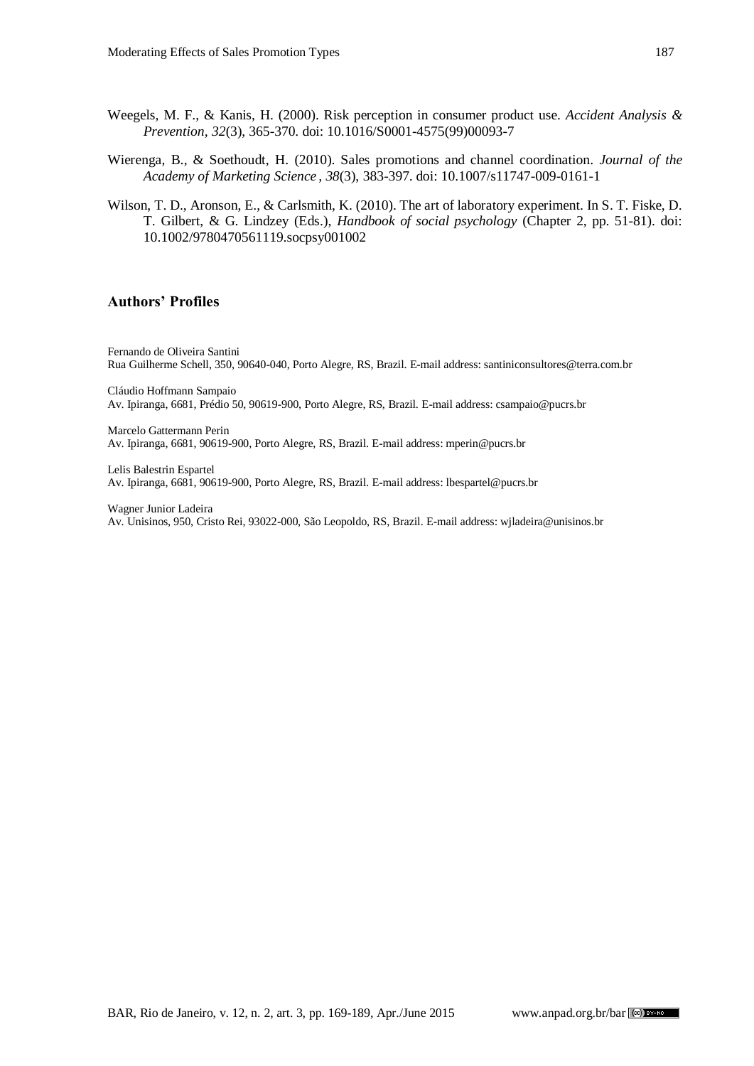- Weegels, M. F., & Kanis, H. (2000). Risk perception in consumer product use. *Accident Analysis & Prevention, 32*(3), 365-370. doi: 10.1016/S0001-4575(99)00093-7
- Wierenga, B., & Soethoudt, H. (2010). Sales promotions and channel coordination. *Journal of the Academy of Marketing Science , 38*(3), 383-397. doi: 10.1007/s11747-009-0161-1
- Wilson, T. D., Aronson, E., & Carlsmith, K. (2010). The art of laboratory experiment. In S. T. Fiske, D. T. Gilbert, & G. Lindzey (Eds.), *Handbook of social psychology* (Chapter 2, pp. 51-81). doi: 10.1002/9780470561119.socpsy001002

#### **Authors' Profiles**

Fernando de Oliveira Santini Rua Guilherme Schell, 350, 90640-040, Porto Alegre, RS, Brazil. E-mail address[: santiniconsultores@terra.com.br](mailto:santiniconsultores@terra.com.br)

Cláudio Hoffmann Sampaio Av. Ipiranga, 6681, Prédio 50, 90619-900, Porto Alegre, RS, Brazil. E-mail address: csampaio@pucrs.br

Marcelo Gattermann Perin Av. Ipiranga, 6681, 90619-900, Porto Alegre, RS, Brazil. E-mail address: mperin@pucrs.br

Lelis Balestrin Espartel Av. Ipiranga, 6681, 90619-900, Porto Alegre, RS, Brazil. E-mail address: lbespartel@pucrs.br

Wagner Junior Ladeira Av. Unisinos, 950, Cristo Rei, 93022-000, São Leopoldo, RS, Brazil. E-mail address[: wjladeira@unisinos.br](mailto:wjladeira@unisinos.br)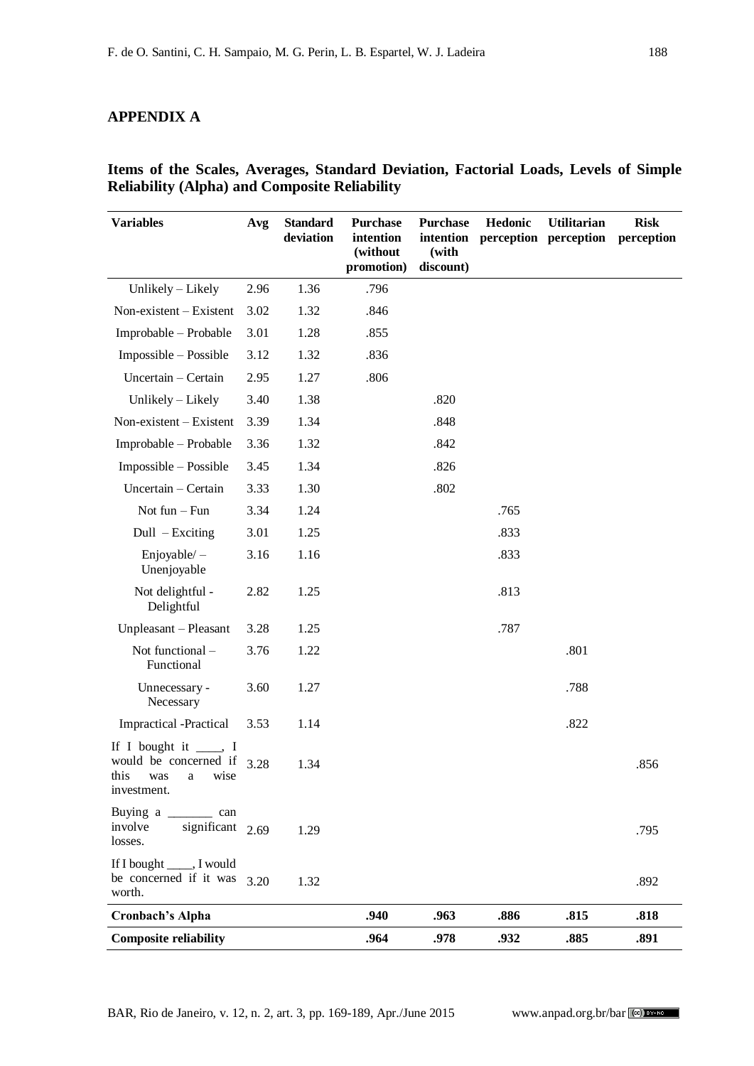# **APPENDIX A**

| <b>Variables</b>                                                                      | Avg  | <b>Standard</b><br>deviation | <b>Purchase</b><br>intention<br>(without<br>promotion) | <b>Purchase</b><br>intention<br>(with<br>discount) | Hedonic | <b>Utilitarian</b><br>perception perception | <b>Risk</b><br>perception |
|---------------------------------------------------------------------------------------|------|------------------------------|--------------------------------------------------------|----------------------------------------------------|---------|---------------------------------------------|---------------------------|
| Unlikely - Likely                                                                     | 2.96 | 1.36                         | .796                                                   |                                                    |         |                                             |                           |
| Non-existent - Existent                                                               | 3.02 | 1.32                         | .846                                                   |                                                    |         |                                             |                           |
| Improbable - Probable                                                                 | 3.01 | 1.28                         | .855                                                   |                                                    |         |                                             |                           |
| Impossible - Possible                                                                 | 3.12 | 1.32                         | .836                                                   |                                                    |         |                                             |                           |
| Uncertain - Certain                                                                   | 2.95 | 1.27                         | .806                                                   |                                                    |         |                                             |                           |
| Unlikely - Likely                                                                     | 3.40 | 1.38                         |                                                        | .820                                               |         |                                             |                           |
| Non-existent – Existent                                                               | 3.39 | 1.34                         |                                                        | .848                                               |         |                                             |                           |
| Improbable - Probable                                                                 | 3.36 | 1.32                         |                                                        | .842                                               |         |                                             |                           |
| Impossible – Possible                                                                 | 3.45 | 1.34                         |                                                        | .826                                               |         |                                             |                           |
| Uncertain - Certain                                                                   | 3.33 | 1.30                         |                                                        | .802                                               |         |                                             |                           |
| Not fun $-$ Fun                                                                       | 3.34 | 1.24                         |                                                        |                                                    | .765    |                                             |                           |
| $Dull$ – Exciting                                                                     | 3.01 | 1.25                         |                                                        |                                                    | .833    |                                             |                           |
| Enjoyable / –<br>Unenjoyable                                                          | 3.16 | 1.16                         |                                                        |                                                    | .833    |                                             |                           |
| Not delightful -<br>Delightful                                                        | 2.82 | 1.25                         |                                                        |                                                    | .813    |                                             |                           |
| Unpleasant - Pleasant                                                                 | 3.28 | 1.25                         |                                                        |                                                    | .787    |                                             |                           |
| Not functional -<br>Functional                                                        | 3.76 | 1.22                         |                                                        |                                                    |         | .801                                        |                           |
| Unnecessary -<br>Necessary                                                            | 3.60 | 1.27                         |                                                        |                                                    |         | .788                                        |                           |
| <b>Impractical</b> -Practical                                                         | 3.53 | 1.14                         |                                                        |                                                    |         | .822                                        |                           |
| If I bought it $\_\_\_\$ I<br>would be concerned if<br>this was a wise<br>investment. | 3.28 | 1.34                         |                                                        |                                                    |         |                                             | .856                      |
| involve<br>significant $2.69$<br>losses.                                              |      | 1.29                         |                                                        |                                                    |         |                                             | .795                      |
| If I bought _____, I would<br>be concerned if it was<br>worth.                        | 3.20 | 1.32                         |                                                        |                                                    |         |                                             | .892                      |
| <b>Cronbach's Alpha</b>                                                               |      |                              | .940                                                   | .963                                               | .886    | .815                                        | .818                      |
| <b>Composite reliability</b>                                                          |      |                              | .964                                                   | .978                                               | .932    | .885                                        | .891                      |

**Items of the Scales, Averages, Standard Deviation, Factorial Loads, Levels of Simple Reliability (Alpha) and Composite Reliability**